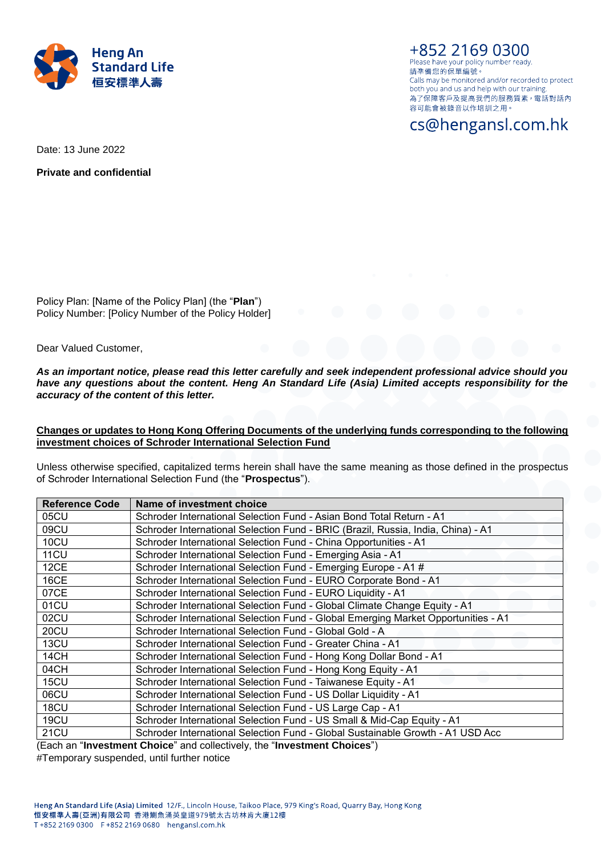

+852 2169 0300 Please have your policy number ready. 請凖備您的保單編號。 Calls may be monitored and/or recorded to protect both you and us and help with our training. 為了保障客戶及提高我們的服務質素,電話對話內 容可能會被錄音以作培訓之用。

cs@hengansl.com.hk

Date: 13 June 2022

**Private and confidential**

Policy Plan: [Name of the Policy Plan] (the "**Plan**") Policy Number: [Policy Number of the Policy Holder]

Dear Valued Customer,

*As an important notice, please read this letter carefully and seek independent professional advice should you have any questions about the content. Heng An Standard Life (Asia) Limited accepts responsibility for the accuracy of the content of this letter.*

**Changes or updates to Hong Kong Offering Documents of the underlying funds corresponding to the following investment choices of Schroder International Selection Fund**

Unless otherwise specified, capitalized terms herein shall have the same meaning as those defined in the prospectus of Schroder International Selection Fund (the "**Prospectus**").

| <b>Reference Code</b> | Name of investment choice                                                         |
|-----------------------|-----------------------------------------------------------------------------------|
| 05CU                  | Schroder International Selection Fund - Asian Bond Total Return - A1              |
| 09CU                  | Schroder International Selection Fund - BRIC (Brazil, Russia, India, China) - A1  |
| 10CU                  | Schroder International Selection Fund - China Opportunities - A1                  |
| <b>11CU</b>           | Schroder International Selection Fund - Emerging Asia - A1                        |
| 12CE                  | Schroder International Selection Fund - Emerging Europe - A1 #                    |
| <b>16CE</b>           | Schroder International Selection Fund - EURO Corporate Bond - A1                  |
| 07CE                  | Schroder International Selection Fund - EURO Liquidity - A1                       |
| 01CU                  | Schroder International Selection Fund - Global Climate Change Equity - A1         |
| 02CU                  | Schroder International Selection Fund - Global Emerging Market Opportunities - A1 |
| 20CU                  | Schroder International Selection Fund - Global Gold - A                           |
| 13CU                  | Schroder International Selection Fund - Greater China - A1                        |
| 14CH                  | Schroder International Selection Fund - Hong Kong Dollar Bond - A1                |
| 04CH                  | Schroder International Selection Fund - Hong Kong Equity - A1                     |
| 15CU                  | Schroder International Selection Fund - Taiwanese Equity - A1                     |
| 06CU                  | Schroder International Selection Fund - US Dollar Liquidity - A1                  |
| 18CU                  | Schroder International Selection Fund - US Large Cap - A1                         |
| 19CU                  | Schroder International Selection Fund - US Small & Mid-Cap Equity - A1            |
| 21CU                  | Schroder International Selection Fund - Global Sustainable Growth - A1 USD Acc    |

(Each an "**Investment Choice**" and collectively, the "**Investment Choices**")

#Temporary suspended, until further notice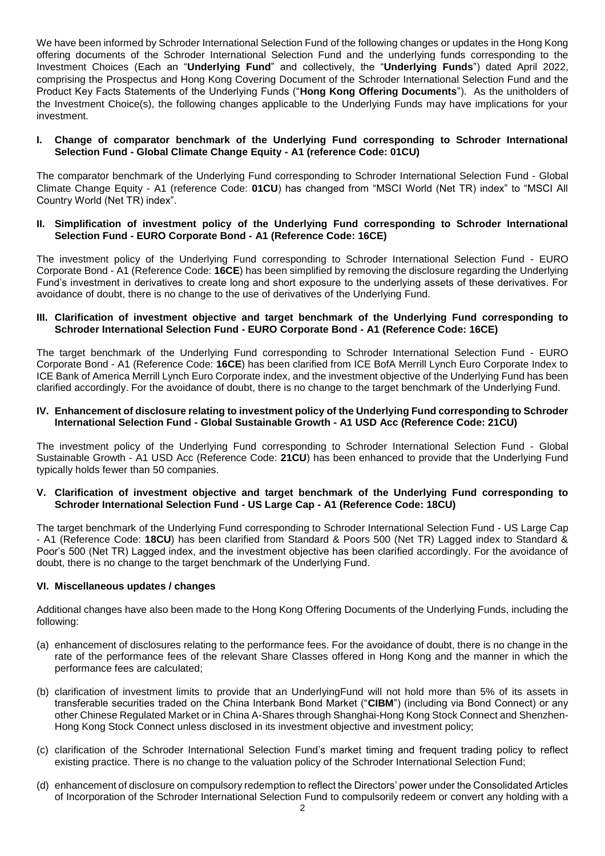We have been informed by Schroder International Selection Fund of the following changes or updates in the Hong Kong offering documents of the Schroder International Selection Fund and the underlying funds corresponding to the Investment Choices (Each an "**Underlying Fund**" and collectively, the "**Underlying Funds**") dated April 2022, comprising the Prospectus and Hong Kong Covering Document of the Schroder International Selection Fund and the Product Key Facts Statements of the Underlying Funds ("**Hong Kong Offering Documents**"). As the unitholders of the Investment Choice(s), the following changes applicable to the Underlying Funds may have implications for your investment.

## **I. Change of comparator benchmark of the Underlying Fund corresponding to Schroder International Selection Fund - Global Climate Change Equity - A1 (reference Code: 01CU)**

The comparator benchmark of the Underlying Fund corresponding to Schroder International Selection Fund - Global Climate Change Equity - A1 (reference Code: **01CU**) has changed from "MSCI World (Net TR) index" to "MSCI All Country World (Net TR) index".

## **II. Simplification of investment policy of the Underlying Fund corresponding to Schroder International Selection Fund - EURO Corporate Bond - A1 (Reference Code: 16CE)**

The investment policy of the Underlying Fund corresponding to Schroder International Selection Fund - EURO Corporate Bond - A1 (Reference Code: **16CE**) has been simplified by removing the disclosure regarding the Underlying Fund's investment in derivatives to create long and short exposure to the underlying assets of these derivatives. For avoidance of doubt, there is no change to the use of derivatives of the Underlying Fund.

### **III. Clarification of investment objective and target benchmark of the Underlying Fund corresponding to Schroder International Selection Fund - EURO Corporate Bond - A1 (Reference Code: 16CE)**

The target benchmark of the Underlying Fund corresponding to Schroder International Selection Fund - EURO Corporate Bond - A1 (Reference Code: **16CE**) has been clarified from ICE BofA Merrill Lynch Euro Corporate Index to ICE Bank of America Merrill Lynch Euro Corporate index, and the investment objective of the Underlying Fund has been clarified accordingly. For the avoidance of doubt, there is no change to the target benchmark of the Underlying Fund.

### **IV. Enhancement of disclosure relating to investment policy of the Underlying Fund corresponding to Schroder International Selection Fund - Global Sustainable Growth - A1 USD Acc (Reference Code: 21CU)**

The investment policy of the Underlying Fund corresponding to Schroder International Selection Fund - Global Sustainable Growth - A1 USD Acc (Reference Code: **21CU**) has been enhanced to provide that the Underlying Fund typically holds fewer than 50 companies.

### **V. Clarification of investment objective and target benchmark of the Underlying Fund corresponding to Schroder International Selection Fund - US Large Cap - A1 (Reference Code: 18CU)**

The target benchmark of the Underlying Fund corresponding to Schroder International Selection Fund - US Large Cap - A1 (Reference Code: **18CU**) has been clarified from Standard & Poors 500 (Net TR) Lagged index to Standard & Poor's 500 (Net TR) Lagged index, and the investment objective has been clarified accordingly. For the avoidance of doubt, there is no change to the target benchmark of the Underlying Fund.

# **VI. Miscellaneous updates / changes**

Additional changes have also been made to the Hong Kong Offering Documents of the Underlying Funds, including the following:

- (a) enhancement of disclosures relating to the performance fees. For the avoidance of doubt, there is no change in the rate of the performance fees of the relevant Share Classes offered in Hong Kong and the manner in which the performance fees are calculated;
- (b) clarification of investment limits to provide that an UnderlyingFund will not hold more than 5% of its assets in transferable securities traded on the China Interbank Bond Market ("**CIBM**") (including via Bond Connect) or any other Chinese Regulated Market or in China A-Shares through Shanghai-Hong Kong Stock Connect and Shenzhen-Hong Kong Stock Connect unless disclosed in its investment objective and investment policy;
- (c) clarification of the Schroder International Selection Fund's market timing and frequent trading policy to reflect existing practice. There is no change to the valuation policy of the Schroder International Selection Fund;
- (d) enhancement of disclosure on compulsory redemption to reflect the Directors' power under the Consolidated Articles of Incorporation of the Schroder International Selection Fund to compulsorily redeem or convert any holding with a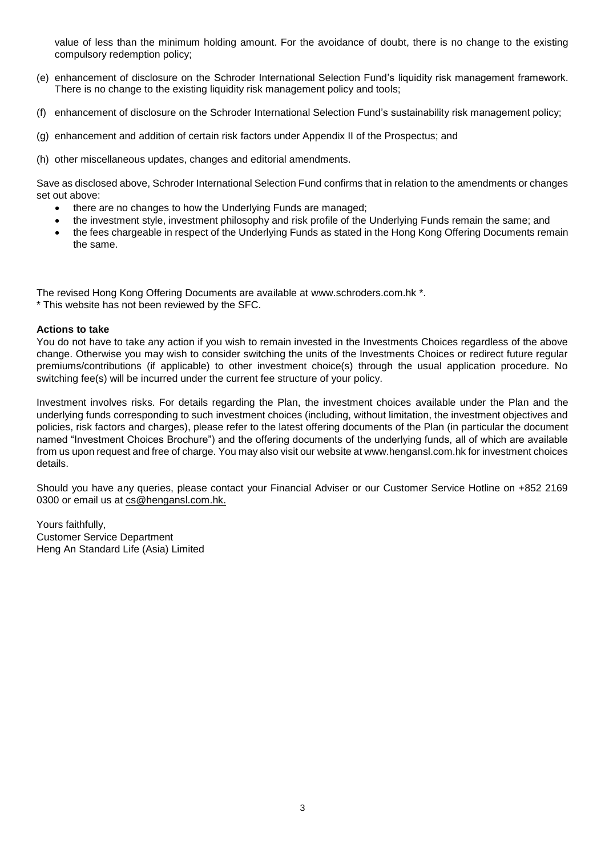value of less than the minimum holding amount. For the avoidance of doubt, there is no change to the existing compulsory redemption policy;

- (e) enhancement of disclosure on the Schroder International Selection Fund's liquidity risk management framework. There is no change to the existing liquidity risk management policy and tools;
- (f) enhancement of disclosure on the Schroder International Selection Fund's sustainability risk management policy;
- (g) enhancement and addition of certain risk factors under Appendix II of the Prospectus; and
- (h) other miscellaneous updates, changes and editorial amendments.

Save as disclosed above, Schroder International Selection Fund confirms that in relation to the amendments or changes set out above:

- there are no changes to how the Underlying Funds are managed;
- the investment style, investment philosophy and risk profile of the Underlying Funds remain the same; and
- the fees chargeable in respect of the Underlying Funds as stated in the Hong Kong Offering Documents remain the same.

The revised Hong Kong Offering Documents are available at www.schroders.com.hk \*. \* This website has not been reviewed by the SFC.

### **Actions to take**

You do not have to take any action if you wish to remain invested in the Investments Choices regardless of the above change. Otherwise you may wish to consider switching the units of the Investments Choices or redirect future regular premiums/contributions (if applicable) to other investment choice(s) through the usual application procedure. No switching fee(s) will be incurred under the current fee structure of your policy.

Investment involves risks. For details regarding the Plan, the investment choices available under the Plan and the underlying funds corresponding to such investment choices (including, without limitation, the investment objectives and policies, risk factors and charges), please refer to the latest offering documents of the Plan (in particular the document named "Investment Choices Brochure") and the offering documents of the underlying funds, all of which are available from us upon request and free of charge. You may also visit our website at www.hengansl.com.hk for investment choices details.

Should you have any queries, please contact your Financial Adviser or our Customer Service Hotline on +852 2169 0300 or email us at [cs@hengansl.com.hk.](mailto:cs@hengansl.com.hk)

Yours faithfully, Customer Service Department Heng An Standard Life (Asia) Limited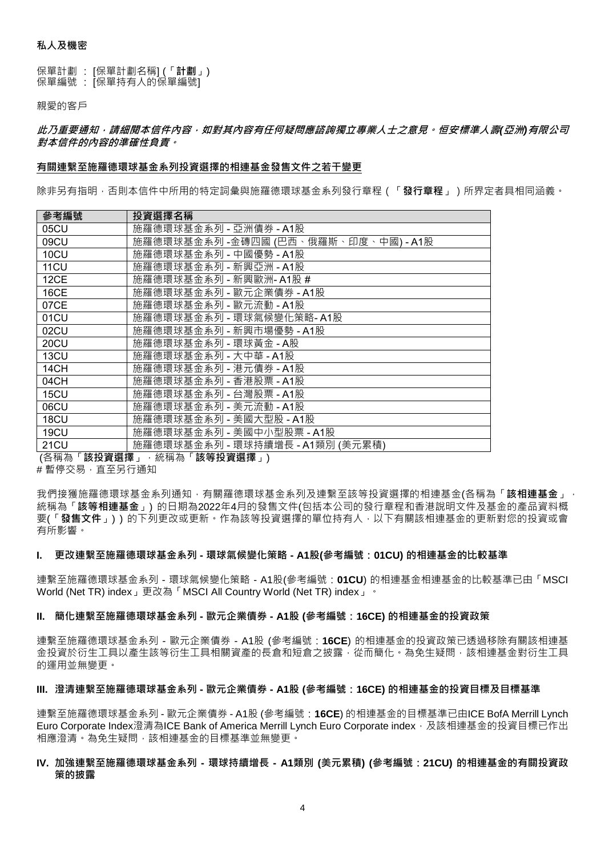保單計劃 : [保單計劃名稱] (「**計劃**」) 保單編號 : [保單持有人的保單編號]

親愛的客戶

**此乃重要通知,請細閱本信件內容,如對其內容有任何疑問應諮詢獨立專業人士之意見。恒安標準人壽***(***亞洲***)***有限公司 對本信件的內容的準確性負責。**

### **有關連繫至施羅德環球基金系列投資選擇的相連基金發售文件之若干變更**

除非另有指明,否則本信件中所用的特定詞彙與施羅德環球基金系列發行章程(「**發行章程**」)所界定者具相同涵義。

| 參考編號        | 投資選擇名稱                               |
|-------------|--------------------------------------|
| 05CU        | 施羅德環球基金系列 - 亞洲債券 - A1股               |
| 09CU        | 施羅德環球基金系列 -金磚四國 (巴西、俄羅斯、印度、中國) - A1股 |
| 10CU        | 施羅德環球基金系列 - 中國優勢 - A1股               |
| 11CU        | 施羅德環球基金系列 - 新興亞洲 - A1股               |
| 12CE        | 施羅德環球基金系列 - 新興歐洲- A1股 #              |
| <b>16CE</b> | 施羅德環球基金系列 - 歐元企業債券 - A1股             |
| 07CE        | 施羅德環球基金系列 - 歐元流動 - A1股               |
| 01CU        | 施羅德環球基金系列 - 環球氣候變化策略- A1股            |
| 02CU        | 施羅德環球基金系列 - 新興市場優勢 - A1股             |
| 20CU        | 施羅德環球基金系列 - 環球黃金 - A股                |
| 13CU        | 施羅德環球基金系列 - 大中華 - A1股                |
| 14CH        | 施羅德環球基金系列 - 港元債券 - A1股               |
| 04CH        | 施羅德環球基金系列 - 香港股票 - A1股               |
| 15CU        | 施羅德環球基金系列 - 台灣股票 - A1股               |
| 06CU        | 施羅德環球基金系列 - 美元流動 - A1股               |
| 18CU        | 施羅德環球基金系列 - 美國大型股 - A1股              |
| 19CU        | 施羅德環球基金系列 - 美國中小型股票 - A1股            |
| 21CU        | 施羅德環球基金系列 - 環球持續增長 - A1類別 (美元累積)     |

(各稱為「**該投資選擇**」,統稱為「**該等投資選擇**」)

#暫停交易,直至另行通知

我們接獲施羅德環球基金系列通知,有關羅德環球基金系列及連繫至該等投資選擇的相連基金(各稱為「**該相連基金**」, 統稱為「**該等相連基金**」) 的日期為2022年4月的發售文件(包括本公司的發行章程和香港說明文件及基金的產品資料概 要(「**發售文件**」) ) 的下列更改或更新。作為該等投資選擇的單位持有人,以下有關該相連基金的更新對您的投資或會 有所影響。

### **I. 更改連繫至施羅德環球基金系列 - 環球氣候變化策略 - A1股(參考編號:01CU) 的相連基金的比較基準**

連繫至施羅德環球基金系列 - 環球氣候變化策略 - A1股(參考編號:**01CU**) 的相連基金相連基金的比較基準已由「MSCI World (Net TR) index」更改為「MSCI All Country World (Net TR) index」。

### **II. 簡化連繫至施羅德環球基金系列 - 歐元企業債券 - A1股 (參考編號:16CE) 的相連基金的投資政策**

連繫至施羅德環球基金系列 - 歐元企業債券 - A1股 (參考編號:**16CE**) 的相連基金的投資政策已透過移除有關該相連基 金投資於衍生工具以產生該等行生日的長倉和短倉之披露,從而簡化。為免生疑問,該相連基金對衍生工具 的運用並無變更。

### **III. 澄清連繫至施羅德環球基金系列 - 歐元企業債券 - A1股 (參考編號:16CE) 的相連基金的投資目標及目標基準**

連繫至施羅德環球基金系列 - 歐元企業債券 - A1股 (參考編號:**16CE**) 的相連基金的目標基準已由ICE BofA Merrill Lynch Euro Corporate Index澄清為ICE Bank of America Merrill Lynch Euro Corporate index, 及該相連基金的投資目標已作出 相應澄清。為免生疑問,該相連基金的目標基準並無變更。

### **IV. 加強連繫至施羅德環球基金系列 - 環球持續增長 - A1類別 (美元累積) (參考編號:21CU) 的相連基金的有關投資政 策的披露**